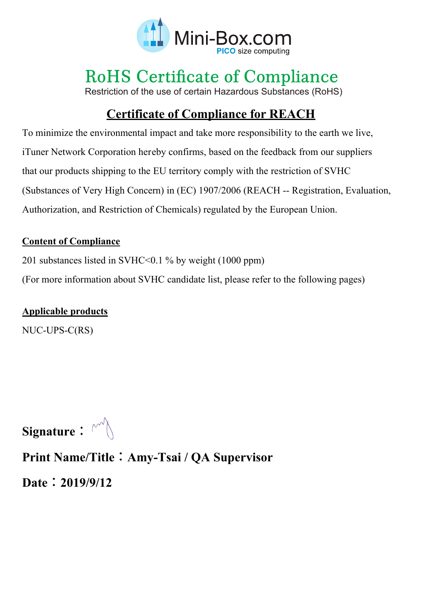

# **RoHS Certificate of Compliance**

Restriction of the use of certain Hazardous Substances (RoHS)

# **Certificate of Compliance for REACH**

To minimize the environmental impact and take more responsibility to the earth we live, iTuner Network Corporation hereby confirms, based on the feedback from our suppliers that our products shipping to the EU territory comply with the restriction of SVHC (Substances of Very High Concern) in (EC) 1907/2006 (REACH -- Registration, Evaluation, Authorization, and Restriction of Chemicals) regulated by the European Union.

### **Content of Compliance**

201 substances listed in SVHC<0.1 % by weight (1000 ppm)

(For more information about SVHC candidate list, please refer to the following pages)

### **Applicable products**

NUC-UPS-C(RS)

Signature:  $\mathbb{M}$ 

## **Print Name/Title**:**Amy-Tsai / QA Supervisor**

**Date**:**2019/9/12**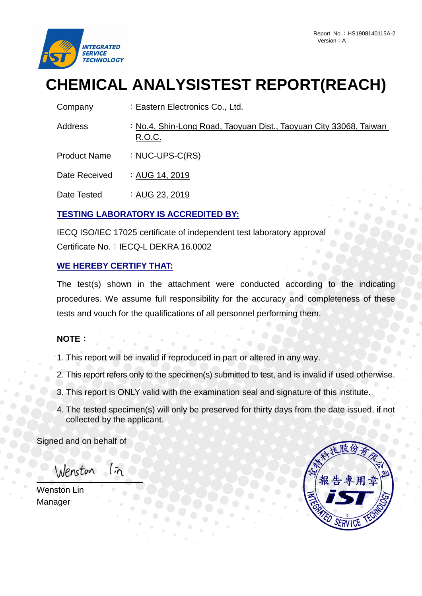

# **CHEMICAL ANALYSISTEST REPORT(REACH)**

| Company             | : Eastern Electronics Co., Ltd.                                             |
|---------------------|-----------------------------------------------------------------------------|
| Address             | : No.4, Shin-Long Road, Taoyuan Dist., Taoyuan City 33068, Taiwan<br>R.O.C. |
| <b>Product Name</b> | : $NUC-UPS-C(RS)$                                                           |
| Date Received       | : AUG 14, 2019                                                              |

Date Tested :  $AUG 23, 2019$ 

#### **TESTING LABORATORY IS ACCREDITED BY:**

IECQ ISO/IEC 17025 certificate of independent test laboratory approval Certificate No.: IECQ-L DEKRA 16.0002

#### **WE HEREBY CERTIFY THAT:**

The test(s) shown in the attachment were conducted according to the indicating procedures. We assume full responsibility for the accuracy and completeness of these tests and vouch for the qualifications of all personnel performing them.

#### **NOTE**:

1. This report will be invalid if reproduced in part or altered in any way.

- 2. This report refers only to the specimen(s) submitted to test, and is invalid if used otherwise.
- 3. This report is ONLY valid with the examination seal and signature of this institute.
- 4. The tested specimen(s) will only be preserved for thirty days from the date issued, if not collected by the applicant.

Signed and on behalf of

Wenston In

Wenston Lin Manager